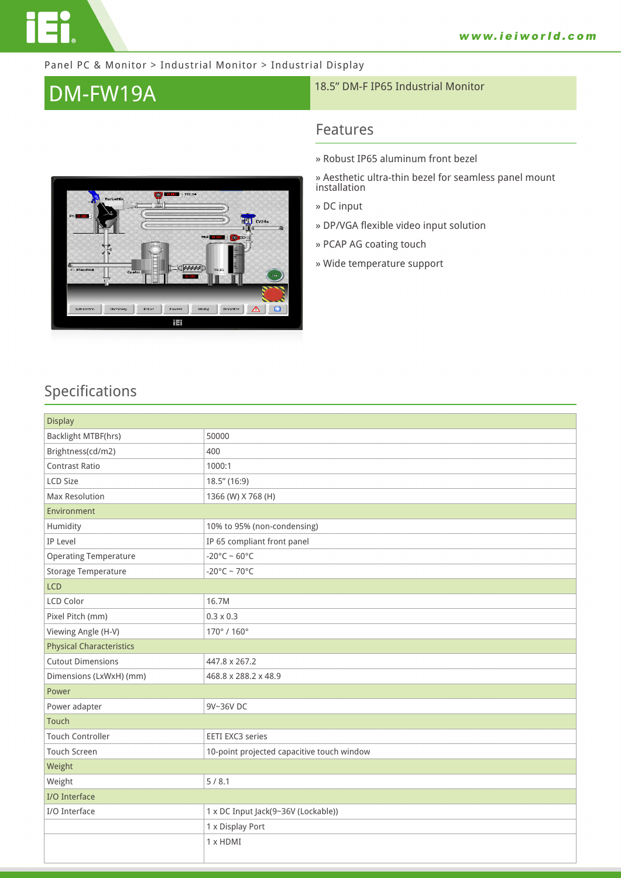

#### Panel PC & Monitor > Industrial Monitor > Industrial Display

# **DM-FW19A** 18.5" DM-F IP65 Industrial Monitor

# Ō. - тсз4 ⊵<br><- Manifol Ion || Machinery || Robot || Process || Mixing || Domotics ||  $\Delta$  | iEi

### **Features**

- **» Robust IP65 aluminum front bezel**
- **» Aesthetic ultra-thin bezel for seamless panel mount installation**
- **» DC input**
- **» DP/VGA flexible video input solution**
- **» PCAP AG coating touch**
- **» Wide temperature support**

# **Specifications**

| <b>Display</b>                  |                                            |
|---------------------------------|--------------------------------------------|
| Backlight MTBF(hrs)             | 50000                                      |
| Brightness(cd/m2)               | 400                                        |
| <b>Contrast Ratio</b>           | 1000:1                                     |
| <b>LCD Size</b>                 | 18.5" (16:9)                               |
| <b>Max Resolution</b>           | 1366 (W) X 768 (H)                         |
| Environment                     |                                            |
| Humidity                        | 10% to 95% (non-condensing)                |
| IP Level                        | IP 65 compliant front panel                |
| <b>Operating Temperature</b>    | $-20^{\circ}$ C ~ 60°C                     |
| Storage Temperature             | $-20^{\circ}$ C ~ 70°C                     |
| <b>LCD</b>                      |                                            |
| <b>LCD Color</b>                | 16.7M                                      |
| Pixel Pitch (mm)                | $0.3 \times 0.3$                           |
| Viewing Angle (H-V)             | 170°/160°                                  |
| <b>Physical Characteristics</b> |                                            |
| <b>Cutout Dimensions</b>        | 447.8 x 267.2                              |
| Dimensions (LxWxH) (mm)         | 468.8 x 288.2 x 48.9                       |
| Power                           |                                            |
| Power adapter                   | 9V~36V DC                                  |
| Touch                           |                                            |
| <b>Touch Controller</b>         | <b>EETI EXC3 series</b>                    |
| <b>Touch Screen</b>             | 10-point projected capacitive touch window |
| Weight                          |                                            |
| Weight                          | 5/8.1                                      |
| I/O Interface                   |                                            |
| I/O Interface                   | 1 x DC Input Jack(9~36V (Lockable))        |
|                                 | 1 x Display Port                           |
|                                 | 1 x HDMI                                   |
|                                 |                                            |